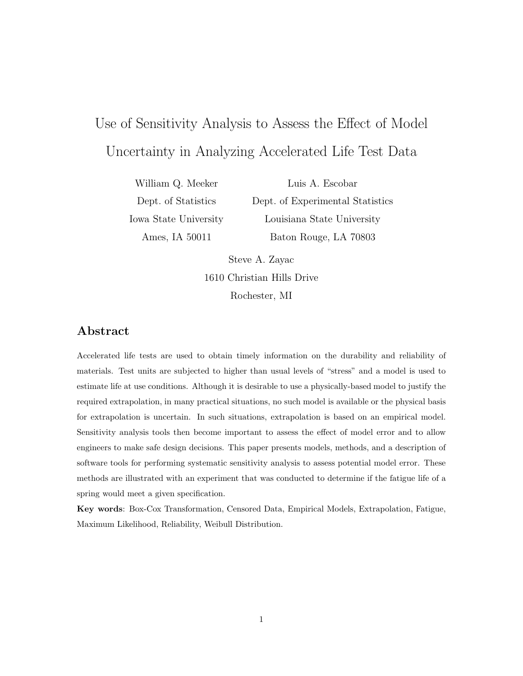# Use of Sensitivity Analysis to Assess the Effect of Model Uncertainty in Analyzing Accelerated Life Test Data

William Q. Meeker Dept. of Statistics Iowa State University Ames, IA 50011

Dept. of Experimental Statistics Louisiana State University Baton Rouge, LA 70803

Steve A. Zayac<br>1610 Christian Hills Drive 1610 Christian Hills Drive Rochester, MI

## **Abstract**

Accelerated life tests are used to obtain timely information on the durability and reliability of materials. Test units are subjected to higher than usual levels of "stress" and a model is used to estimate life at use conditions. Although it is desirable to use a physically-based model to justify the required extrapolation, in many practical situations, no such model is available or the physical basis for extrapolation is uncertain. In such situations, extrapolation is based on an empirical model. Sensitivity analysis tools then become important to assess the effect of model error and to allow engineers to make safe design decisions. This paper presents models, methods, and a description of software tools for performing systematic sensitivity analysis to assess potential model error. These methods are illustrated with an experiment that was conducted to determine if the fatigue life of a spring would meet a given specification.

**Key words**: Box-Cox Transformation, Censored Data, Empirical Models, Extrapolation, Fatigue, Maximum Likelihood, Reliability, Weibull Distribution.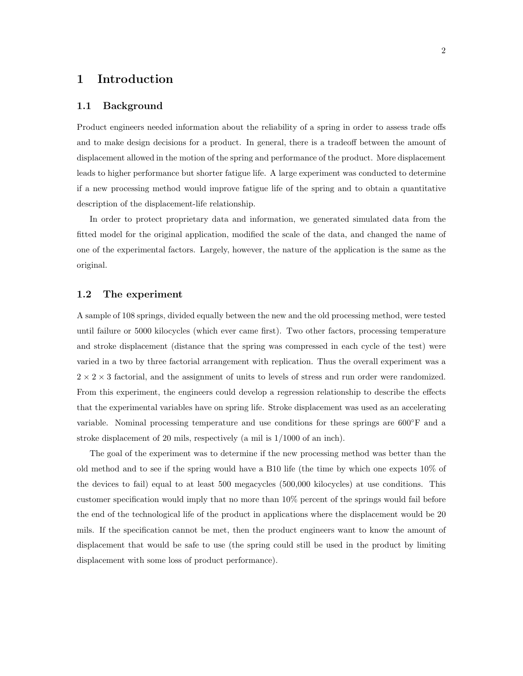### **1 Introduction**

#### **1.1 Background**

Product engineers needed information about the reliability of a spring in order to assess trade offs and to make design decisions for a product. In general, there is a tradeoff between the amount of displacement allowed in the motion of the spring and performance of the product. More displacement leads to higher performance but shorter fatigue life. A large experiment was conducted to determine if a new processing method would improve fatigue life of the spring and to obtain a quantitative description of the displacement-life relationship.

In order to protect proprietary data and information, we generated simulated data from the fitted model for the original application, modified the scale of the data, and changed the name of one of the experimental factors. Largely, however, the nature of the application is the same as the original.

#### **1.2 The experiment**

A sample of 108 springs, divided equally between the new and the old processing method, were tested until failure or 5000 kilocycles (which ever came first). Two other factors, processing temperature and stroke displacement (distance that the spring was compressed in each cycle of the test) were varied in a two by three factorial arrangement with replication. Thus the overall experiment was a  $2 \times 2 \times 3$  factorial, and the assignment of units to levels of stress and run order were randomized. From this experiment, the engineers could develop a regression relationship to describe the effects that the experimental variables have on spring life. Stroke displacement was used as an accelerating variable. Nominal processing temperature and use conditions for these springs are 600<sup>°</sup>F and a stroke displacement of 20 mils, respectively (a mil is 1/1000 of an inch).

The goal of the experiment was to determine if the new processing method was better than the old method and to see if the spring would have a B10 life (the time by which one expects 10% of the devices to fail) equal to at least 500 megacycles (500,000 kilocycles) at use conditions. This customer specification would imply that no more than 10% percent of the springs would fail before the end of the technological life of the product in applications where the displacement would be 20 mils. If the specification cannot be met, then the product engineers want to know the amount of displacement that would be safe to use (the spring could still be used in the product by limiting displacement with some loss of product performance).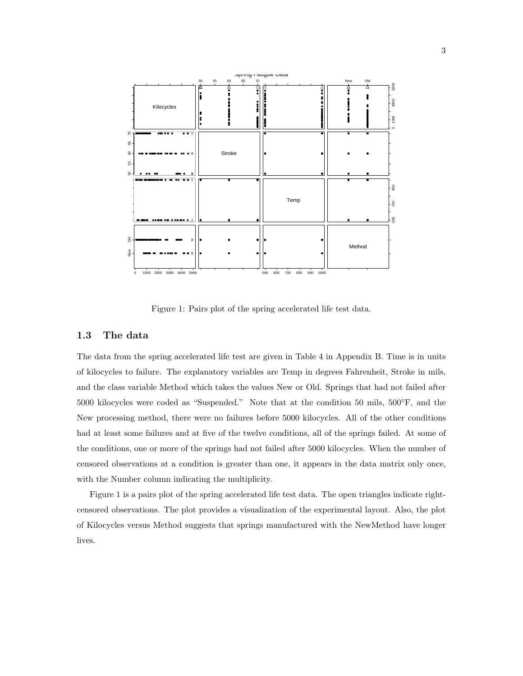

Figure 1: Pairs plot of the spring accelerated life test data.

#### **1.3 The data**

The data from the spring accelerated life test are given in Table 4 in Appendix B. Time is in units of kilocycles to failure. The explanatory variables are Temp in degrees Fahrenheit, Stroke in mils, and the class variable Method which takes the values New or Old. Springs that had not failed after 5000 kilocycles were coded as "Suspended." Note that at the condition 50 mils, 500°F, and the New processing method, there were no failures before 5000 kilocycles. All of the other conditions had at least some failures and at five of the twelve conditions, all of the springs failed. At some of the conditions, one or more of the springs had not failed after 5000 kilocycles. When the number of censored observations at a condition is greater than one, it appears in the data matrix only once, with the Number column indicating the multiplicity.

Figure 1 is a pairs plot of the spring accelerated life test data. The open triangles indicate rightcensored observations. The plot provides a visualization of the experimental layout. Also, the plot of Kilocycles versus Method suggests that springs manufactured with the NewMethod have longer lives.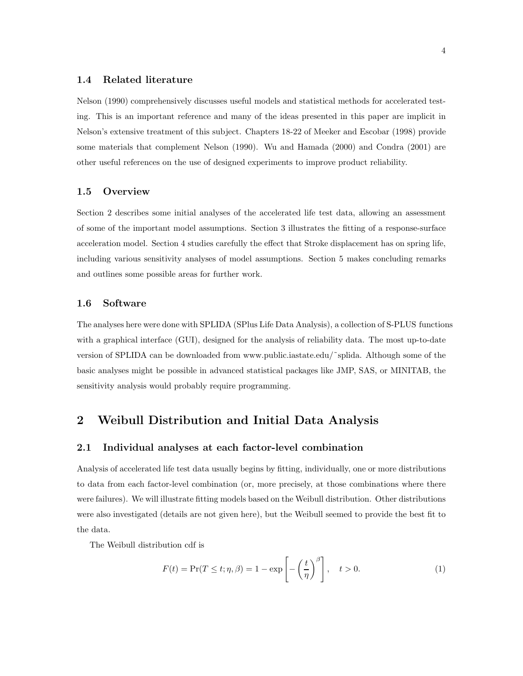#### **1.4 Related literature**

Nelson (1990) comprehensively discusses useful models and statistical methods for accelerated testing. This is an important reference and many of the ideas presented in this paper are implicit in Nelson's extensive treatment of this subject. Chapters 18-22 of Meeker and Escobar (1998) provide some materials that complement Nelson (1990). Wu and Hamada (2000) and Condra (2001) are other useful references on the use of designed experiments to improve product reliability.

#### **1.5 Overview**

Section 2 describes some initial analyses of the accelerated life test data, allowing an assessment of some of the important model assumptions. Section 3 illustrates the fitting of a response-surface acceleration model. Section 4 studies carefully the effect that Stroke displacement has on spring life, including various sensitivity analyses of model assumptions. Section 5 makes concluding remarks and outlines some possible areas for further work.

#### **1.6 Software**

The analyses here were done with SPLIDA (SPlus Life Data Analysis), a collection of S-PLUS functions with a graphical interface (GUI), designed for the analysis of reliability data. The most up-to-date version of SPLIDA can be downloaded from www.public.iastate.edu/˜splida. Although some of the basic analyses might be possible in advanced statistical packages like JMP, SAS, or MINITAB, the sensitivity analysis would probably require programming.

## **2 Weibull Distribution and Initial Data Analysis**

#### **2.1 Individual analyses at each factor-level combination**

Analysis of accelerated life test data usually begins by fitting, individually, one or more distributions to data from each factor-level combination (or, more precisely, at those combinations where there were failures). We will illustrate fitting models based on the Weibull distribution. Other distributions were also investigated (details are not given here), but the Weibull seemed to provide the best fit to the data.

The Weibull distribution cdf is

$$
F(t) = \Pr(T \le t; \eta, \beta) = 1 - \exp\left[-\left(\frac{t}{\eta}\right)^{\beta}\right], \quad t > 0.
$$
 (1)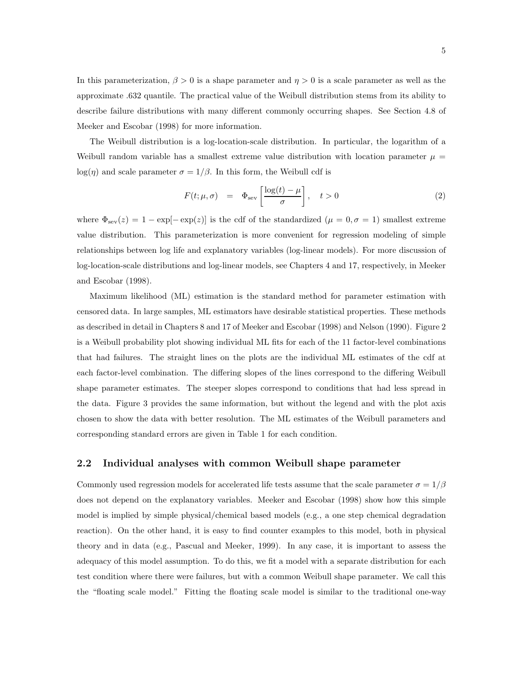In this parameterization,  $\beta > 0$  is a shape parameter and  $\eta > 0$  is a scale parameter as well as the approximate .632 quantile. The practical value of the Weibull distribution stems from its ability to describe failure distributions with many different commonly occurring shapes. See Section 4.8 of Meeker and Escobar (1998) for more information.

The Weibull distribution is a log-location-scale distribution. In particular, the logarithm of a Weibull random variable has a smallest extreme value distribution with location parameter  $\mu =$ log(*η*) and scale parameter  $\sigma = 1/\beta$ . In this form, the Weibull cdf is

$$
F(t; \mu, \sigma) = \Phi_{\text{sev}} \left[ \frac{\log(t) - \mu}{\sigma} \right], \quad t > 0 \tag{2}
$$

where  $\Phi_{\text{sev}}(z)=1 - \exp[-\exp(z)]$  is the cdf of the standardized  $(\mu = 0, \sigma = 1)$  smallest extreme value distribution. This parameterization is more convenient for regression modeling of simple relationships between log life and explanatory variables (log-linear models). For more discussion of log-location-scale distributions and log-linear models, see Chapters 4 and 17, respectively, in Meeker and Escobar (1998).

Maximum likelihood (ML) estimation is the standard method for parameter estimation with censored data. In large samples, ML estimators have desirable statistical properties. These methods as described in detail in Chapters 8 and 17 of Meeker and Escobar (1998) and Nelson (1990). Figure 2 is a Weibull probability plot showing individual ML fits for each of the 11 factor-level combinations that had failures. The straight lines on the plots are the individual ML estimates of the cdf at each factor-level combination. The differing slopes of the lines correspond to the differing Weibull shape parameter estimates. The steeper slopes correspond to conditions that had less spread in the data. Figure 3 provides the same information, but without the legend and with the plot axis chosen to show the data with better resolution. The ML estimates of the Weibull parameters and corresponding standard errors are given in Table 1 for each condition.

#### **2.2 Individual analyses with common Weibull shape parameter**

Commonly used regression models for accelerated life tests assume that the scale parameter  $\sigma = 1/\beta$ does not depend on the explanatory variables. Meeker and Escobar (1998) show how this simple model is implied by simple physical/chemical based models (e.g., a one step chemical degradation reaction). On the other hand, it is easy to find counter examples to this model, both in physical theory and in data (e.g., Pascual and Meeker, 1999). In any case, it is important to assess the adequacy of this model assumption. To do this, we fit a model with a separate distribution for each test condition where there were failures, but with a common Weibull shape parameter. We call this the "floating scale model." Fitting the floating scale model is similar to the traditional one-way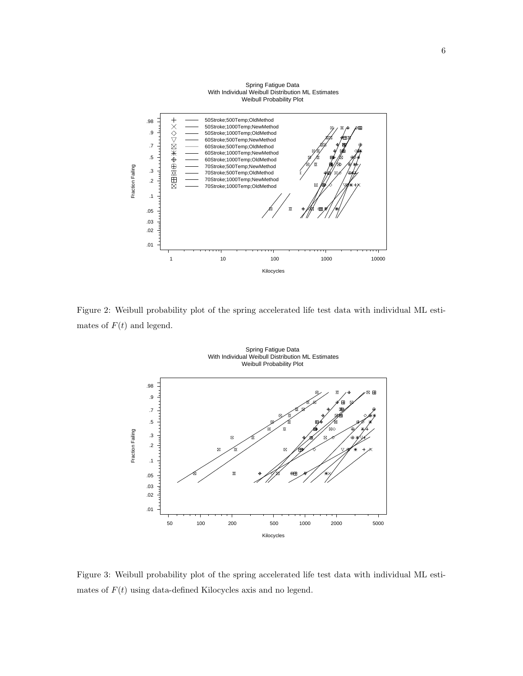

Figure 2: Weibull probability plot of the spring accelerated life test data with individual ML estimates of  $F(t)$  and legend.

Spring Fatigue Data



Figure 3: Weibull probability plot of the spring accelerated life test data with individual ML estimates of  $F(t)$  using data-defined Kilocycles axis and no legend.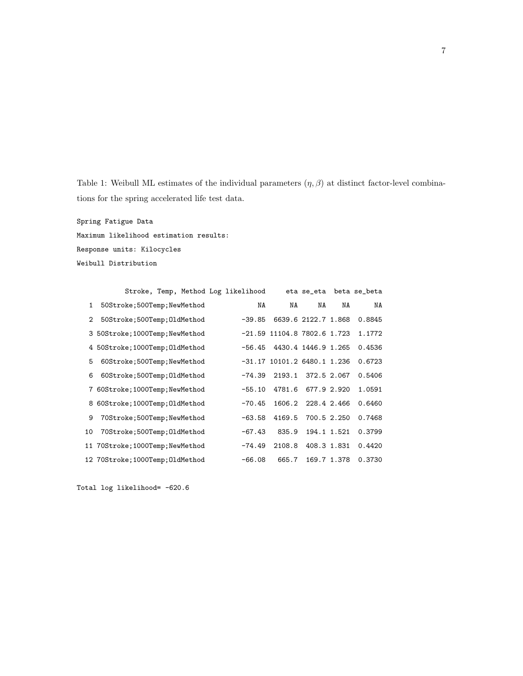Table 1: Weibull ML estimates of the individual parameters  $(\eta, \beta)$  at distinct factor-level combinations for the spring accelerated life test data.

Spring Fatigue Data Maximum likelihood estimation results: Response units: Kilocycles Weibull Distribution

|                | Stroke, Temp, Method Log likelihood |          |                               |                     |             | eta se_eta beta se_beta |
|----------------|-------------------------------------|----------|-------------------------------|---------------------|-------------|-------------------------|
| $\mathbf{1}$   | 50Stroke; 500Temp; NewMethod        | NA       | NA                            | NA                  | NA          | NA                      |
| $\overline{2}$ | 50Stroke; 500Temp; OldMethod        | $-39.85$ |                               | 6639.6 2122.7 1.868 |             | 0.8845                  |
|                | 3 50Stroke; 1000Temp; NewMethod     |          | $-21.59$ 11104.8 7802.6 1.723 |                     |             | 1.1772                  |
|                | 4 50Stroke; 1000Temp; 01dMethod     | $-56.45$ |                               | 4430.4 1446.9 1.265 |             | 0.4536                  |
| 5              | 60Stroke;500Temp;NewMethod          |          | $-31.17$ 10101.2 6480.1 1.236 |                     |             | 0.6723                  |
| 6              | 60Stroke; 500Temp; OldMethod        | $-74.39$ | 2193.1                        | 372.5 2.067         |             | 0.5406                  |
|                | 7 60Stroke; 1000Temp; NewMethod     | $-55.10$ | 4781.6                        |                     | 677.9 2.920 | 1.0591                  |
|                | 8 60Stroke; 1000Temp; 01dMethod     | $-70.45$ | 1606.2                        | 228.4 2.466         |             | 0.6460                  |
| 9              | 70Stroke;500Temp;NewMethod          | $-63.58$ | 4169.5                        |                     | 700.5 2.250 | 0.7468                  |
| 10             | 70Stroke;500Temp;01dMethod          | $-67.43$ | 835.9                         | 194.1 1.521         |             | 0.3799                  |
|                | 11 70Stroke; 1000Temp; NewMethod    | $-74.49$ | 2108.8                        | 408.3 1.831         |             | 0.4420                  |
|                | 12 70Stroke; 1000Temp; 01dMethod    | $-66.08$ | 665.7                         |                     | 169.7 1.378 | 0.3730                  |

Total log likelihood= -620.6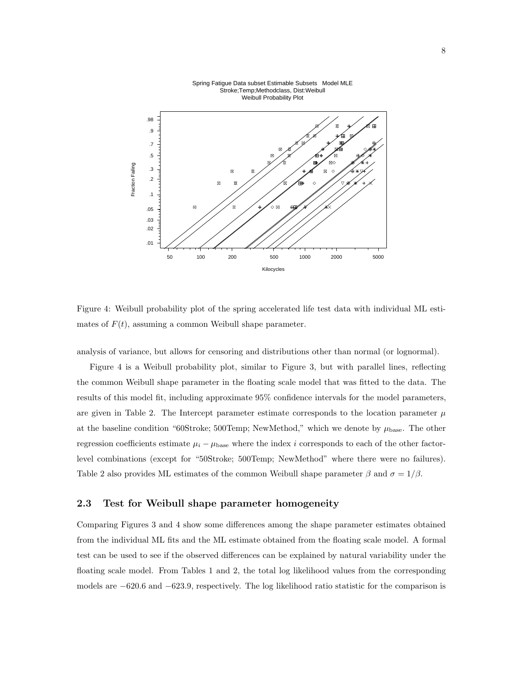

Spring Fatigue Data subset Estimable Subsets Model MLE Stroke;Temp;Methodclass, Dist:Weibull Weibull Probability Plot

Figure 4: Weibull probability plot of the spring accelerated life test data with individual ML estimates of  $F(t)$ , assuming a common Weibull shape parameter.

analysis of variance, but allows for censoring and distributions other than normal (or lognormal).

Figure 4 is a Weibull probability plot, similar to Figure 3, but with parallel lines, reflecting the common Weibull shape parameter in the floating scale model that was fitted to the data. The results of this model fit, including approximate 95% confidence intervals for the model parameters, are given in Table 2. The Intercept parameter estimate corresponds to the location parameter  $\mu$ at the baseline condition "60Stroke; 500Temp; NewMethod," which we denote by  $\mu_{\text{base}}$ . The other regression coefficients estimate  $\mu_i - \mu_{base}$  where the index i corresponds to each of the other factorlevel combinations (except for "50Stroke; 500Temp; NewMethod" where there were no failures). Table 2 also provides ML estimates of the common Weibull shape parameter  $\beta$  and  $\sigma = 1/\beta$ .

#### **2.3 Test for Weibull shape parameter homogeneity**

Comparing Figures 3 and 4 show some differences among the shape parameter estimates obtained from the individual ML fits and the ML estimate obtained from the floating scale model. A formal test can be used to see if the observed differences can be explained by natural variability under the floating scale model. From Tables 1 and 2, the total log likelihood values from the corresponding models are −620.6 and −623.9, respectively. The log likelihood ratio statistic for the comparison is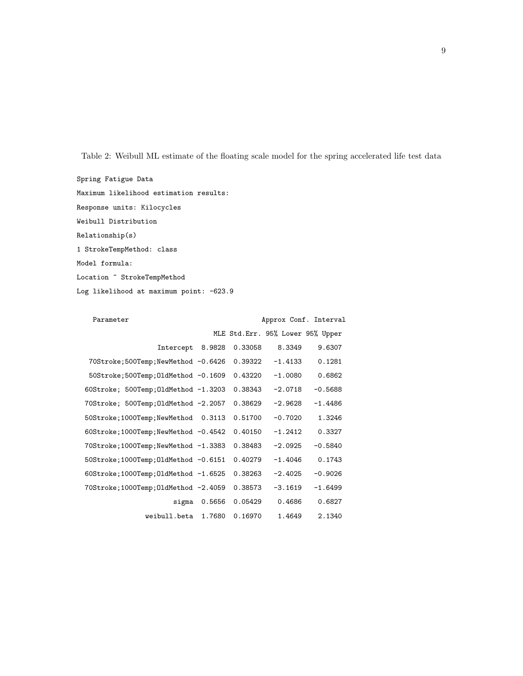Table 2: Weibull ML estimate of the floating scale model for the spring accelerated life test data

Spring Fatigue Data Maximum likelihood estimation results: Response units: Kilocycles Weibull Distribution Relationship(s) 1 StrokeTempMethod: class Model formula: Location ~ StrokeTempMethod Log likelihood at maximum point: -623.9

| Parameter |                                       |        |         | Approx Conf. Interval            |           |
|-----------|---------------------------------------|--------|---------|----------------------------------|-----------|
|           |                                       |        |         | MLE Std.Err. 95% Lower 95% Upper |           |
|           | Intercept                             | 8.9828 | 0.33058 | 8.3349                           | 9.6307    |
|           | 70Stroke;500Temp;NewMethod -0.6426    |        | 0.39322 | $-1.4133$                        | 0.1281    |
|           | 50Stroke; 500Temp; 01dMethod -0.1609  |        | 0.43220 | $-1.0080$                        | 0.6862    |
|           | 60Stroke; 500Temp; 01dMethod -1.3203  |        | 0.38343 | $-2.0718$                        | $-0.5688$ |
|           | 70Stroke; 500Temp; 01dMethod -2.2057  |        | 0.38629 | $-2.9628$                        | $-1.4486$ |
|           | 50Stroke;1000Temp;NewMethod           | 0.3113 | 0.51700 | $-0.7020$                        | 1.3246    |
|           | 60Stroke;1000Temp;NewMethod -0.4542   |        | 0.40150 | $-1.2412$                        | 0.3327    |
|           | 70Stroke; 1000Temp; NewMethod -1.3383 |        | 0.38483 | $-2.0925$                        | $-0.5840$ |
|           | 50Stroke;1000Temp;01dMethod -0.6151   |        | 0.40279 | $-1.4046$                        | 0.1743    |
|           | 60Stroke;1000Temp;0ldMethod -1.6525   |        | 0.38263 | $-2.4025$                        | $-0.9026$ |
|           | 70Stroke;1000Temp;01dMethod -2.4059   |        | 0.38573 | $-3.1619$                        | $-1.6499$ |
|           | sigma                                 | 0.5656 | 0.05429 | 0.4686                           | 0.6827    |
|           | weibull.beta                          | 1.7680 | 0.16970 | 1.4649                           | 2.1340    |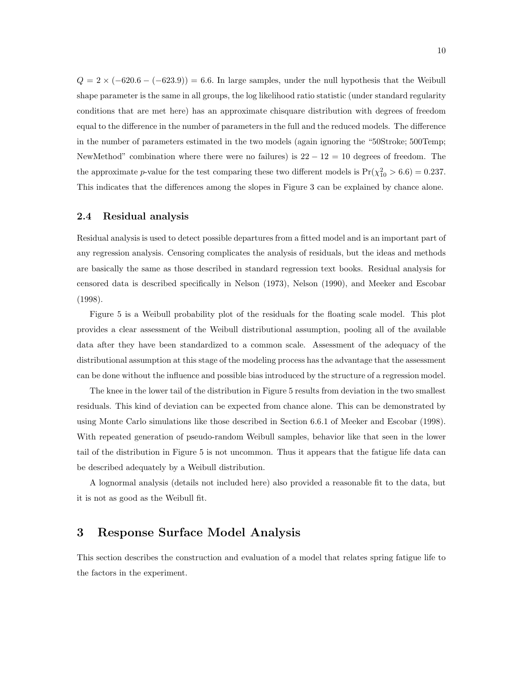$Q = 2 \times (-620.6 - (-623.9)) = 6.6$ . In large samples, under the null hypothesis that the Weibull shape parameter is the same in all groups, the log likelihood ratio statistic (under standard regularity conditions that are met here) has an approximate chisquare distribution with degrees of freedom equal to the difference in the number of parameters in the full and the reduced models. The difference in the number of parameters estimated in the two models (again ignoring the "50Stroke; 500Temp; NewMethod" combination where there were no failures) is  $22 - 12 = 10$  degrees of freedom. The the approximate p-value for the test comparing these two different models is  $Pr(\chi_{10}^2 > 6.6) = 0.237$ . This indicates that the differences among the slopes in Figure 3 can be explained by chance alone.

#### **2.4 Residual analysis**

Residual analysis is used to detect possible departures from a fitted model and is an important part of any regression analysis. Censoring complicates the analysis of residuals, but the ideas and methods are basically the same as those described in standard regression text books. Residual analysis for censored data is described specifically in Nelson (1973), Nelson (1990), and Meeker and Escobar (1998).

Figure 5 is a Weibull probability plot of the residuals for the floating scale model. This plot provides a clear assessment of the Weibull distributional assumption, pooling all of the available data after they have been standardized to a common scale. Assessment of the adequacy of the distributional assumption at this stage of the modeling process has the advantage that the assessment can be done without the influence and possible bias introduced by the structure of a regression model.

The knee in the lower tail of the distribution in Figure 5 results from deviation in the two smallest residuals. This kind of deviation can be expected from chance alone. This can be demonstrated by using Monte Carlo simulations like those described in Section 6.6.1 of Meeker and Escobar (1998). With repeated generation of pseudo-random Weibull samples, behavior like that seen in the lower tail of the distribution in Figure 5 is not uncommon. Thus it appears that the fatigue life data can be described adequately by a Weibull distribution.

A lognormal analysis (details not included here) also provided a reasonable fit to the data, but it is not as good as the Weibull fit.

## **3 Response Surface Model Analysis**

This section describes the construction and evaluation of a model that relates spring fatigue life to the factors in the experiment.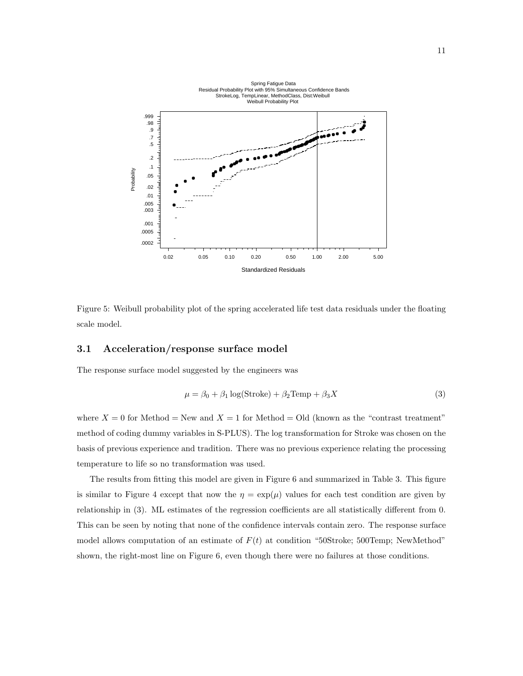

Figure 5: Weibull probability plot of the spring accelerated life test data residuals under the floating scale model.

#### **3.1 Acceleration/response surface model**

The response surface model suggested by the engineers was

$$
\mu = \beta_0 + \beta_1 \log(\text{Stroke}) + \beta_2 \text{Temp} + \beta_3 X \tag{3}
$$

where  $X = 0$  for Method = New and  $X = 1$  for Method = Old (known as the "contrast treatment" method of coding dummy variables in S-PLUS). The log transformation for Stroke was chosen on the basis of previous experience and tradition. There was no previous experience relating the processing temperature to life so no transformation was used.

The results from fitting this model are given in Figure 6 and summarized in Table 3. This figure is similar to Figure 4 except that now the  $\eta = \exp(\mu)$  values for each test condition are given by relationship in (3). ML estimates of the regression coefficients are all statistically different from 0. This can be seen by noting that none of the confidence intervals contain zero. The response surface model allows computation of an estimate of  $F(t)$  at condition "50Stroke; 500Temp; NewMethod" shown, the right-most line on Figure 6, even though there were no failures at those conditions.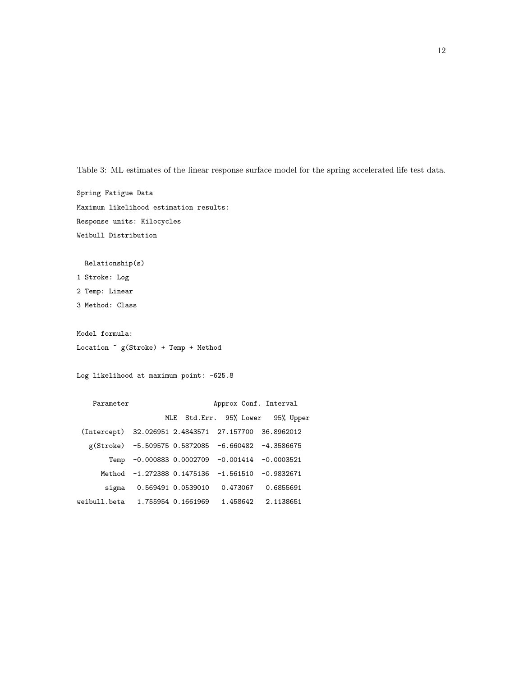Table 3: ML estimates of the linear response surface model for the spring accelerated life test data.

Spring Fatigue Data Maximum likelihood estimation results: Response units: Kilocycles Weibull Distribution

Relationship(s)

1 Stroke: Log

2 Temp: Linear

3 Method: Class

Model formula: Location ~ g(Stroke) + Temp + Method

Log likelihood at maximum point: -625.8

Parameter **Approx Conf.** Interval MLE Std.Err. 95% Lower 95% Upper (Intercept) 32.026951 2.4843571 27.157700 36.8962012 g(Stroke) -5.509575 0.5872085 -6.660482 -4.3586675 Temp -0.000883 0.0002709 -0.001414 -0.0003521 Method -1.272388 0.1475136 -1.561510 -0.9832671 sigma 0.569491 0.0539010 0.473067 0.6855691 weibull.beta 1.755954 0.1661969 1.458642 2.1138651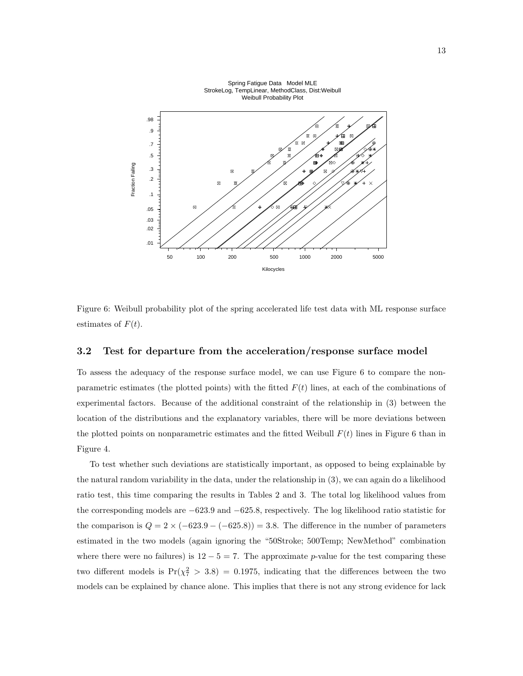

Spring Fatigue Data Model MLE StrokeLog, TempLinear, MethodClass, Dist:Weibull

Figure 6: Weibull probability plot of the spring accelerated life test data with ML response surface estimates of  $F(t)$ .

#### **3.2 Test for departure from the acceleration/response surface model**

To assess the adequacy of the response surface model, we can use Figure 6 to compare the nonparametric estimates (the plotted points) with the fitted  $F(t)$  lines, at each of the combinations of experimental factors. Because of the additional constraint of the relationship in (3) between the location of the distributions and the explanatory variables, there will be more deviations between the plotted points on nonparametric estimates and the fitted Weibull  $F(t)$  lines in Figure 6 than in Figure 4.

To test whether such deviations are statistically important, as opposed to being explainable by the natural random variability in the data, under the relationship in (3), we can again do a likelihood ratio test, this time comparing the results in Tables 2 and 3. The total log likelihood values from the corresponding models are −623.9 and −625.8, respectively. The log likelihood ratio statistic for the comparison is  $Q = 2 \times (-623.9 - (-625.8)) = 3.8$ . The difference in the number of parameters estimated in the two models (again ignoring the "50Stroke; 500Temp; NewMethod" combination where there were no failures) is  $12 - 5 = 7$ . The approximate p-value for the test comparing these two different models is  $Pr(\chi^2_7 > 3.8) = 0.1975$ , indicating that the differences between the two models can be explained by chance alone. This implies that there is not any strong evidence for lack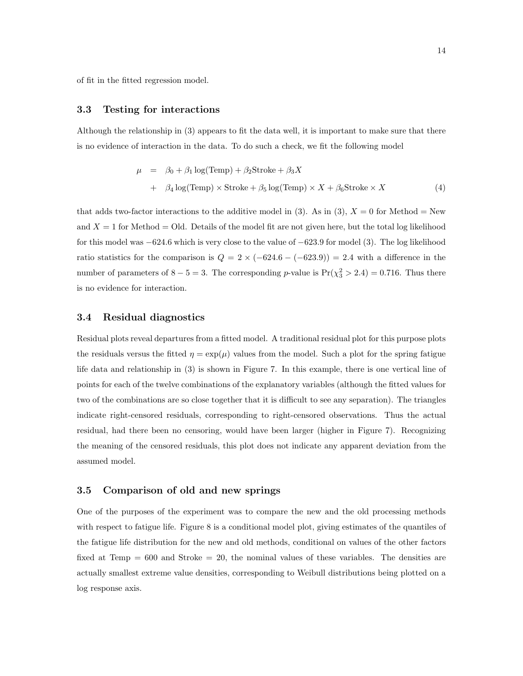of fit in the fitted regression model.

#### **3.3 Testing for interactions**

Although the relationship in (3) appears to fit the data well, it is important to make sure that there is no evidence of interaction in the data. To do such a check, we fit the following model

$$
\mu = \beta_0 + \beta_1 \log(\text{Temp}) + \beta_2 \text{Stroke} + \beta_3 X
$$
  
+ 
$$
\beta_4 \log(\text{Temp}) \times \text{Stroke} + \beta_5 \log(\text{Temp}) \times X + \beta_6 \text{Stroke} \times X
$$
 (4)

that adds two-factor interactions to the additive model in (3). As in (3),  $X = 0$  for Method = New and  $X = 1$  for Method  $=$  Old. Details of the model fit are not given here, but the total log likelihood for this model was −624.6 which is very close to the value of −623.9 for model (3). The log likelihood ratio statistics for the comparison is  $Q = 2 \times (-624.6 - (-623.9)) = 2.4$  with a difference in the number of parameters of  $8-5=3$ . The corresponding p-value is  $Pr(\chi^2_{3} > 2.4) = 0.716$ . Thus there is no evidence for interaction.

#### **3.4 Residual diagnostics**

Residual plots reveal departures from a fitted model. A traditional residual plot for this purpose plots the residuals versus the fitted  $\eta = \exp(\mu)$  values from the model. Such a plot for the spring fatigue life data and relationship in (3) is shown in Figure 7. In this example, there is one vertical line of points for each of the twelve combinations of the explanatory variables (although the fitted values for two of the combinations are so close together that it is difficult to see any separation). The triangles indicate right-censored residuals, corresponding to right-censored observations. Thus the actual residual, had there been no censoring, would have been larger (higher in Figure 7). Recognizing the meaning of the censored residuals, this plot does not indicate any apparent deviation from the assumed model.

#### **3.5 Comparison of old and new springs**

One of the purposes of the experiment was to compare the new and the old processing methods with respect to fatigue life. Figure 8 is a conditional model plot, giving estimates of the quantiles of the fatigue life distribution for the new and old methods, conditional on values of the other factors fixed at Temp  $= 600$  and Stroke  $= 20$ , the nominal values of these variables. The densities are actually smallest extreme value densities, corresponding to Weibull distributions being plotted on a log response axis.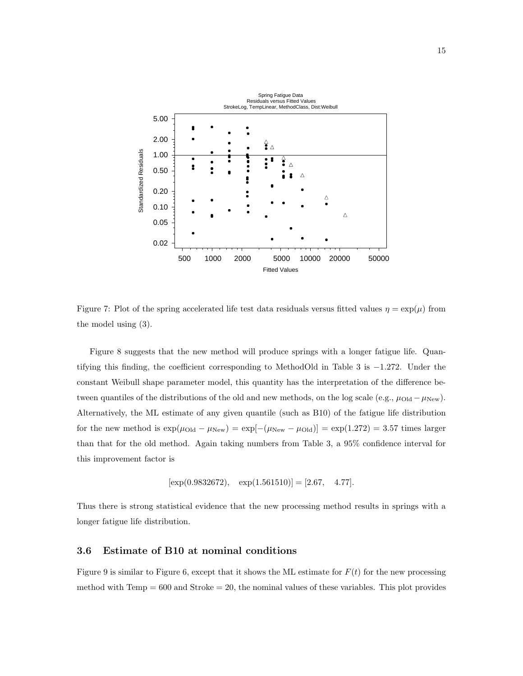

Figure 7: Plot of the spring accelerated life test data residuals versus fitted values  $\eta = \exp(\mu)$  from the model using (3).

Figure 8 suggests that the new method will produce springs with a longer fatigue life. Quantifying this finding, the coefficient corresponding to MethodOld in Table 3 is −1.272. Under the constant Weibull shape parameter model, this quantity has the interpretation of the difference between quantiles of the distributions of the old and new methods, on the log scale (e.g.,  $\mu_{\text{Old}} - \mu_{\text{New}}$ ). Alternatively, the ML estimate of any given quantile (such as B10) of the fatigue life distribution for the new method is  $\exp(\mu_{\text{Old}} - \mu_{\text{New}}) = \exp[-(\mu_{\text{New}} - \mu_{\text{Old}})] = \exp(1.272) = 3.57$  times larger than that for the old method. Again taking numbers from Table 3, a 95% confidence interval for this improvement factor is

$$
[\exp(0.9832672), \exp(1.561510)] = [2.67, 4.77].
$$

Thus there is strong statistical evidence that the new processing method results in springs with a longer fatigue life distribution.

#### **3.6 Estimate of B10 at nominal conditions**

Figure 9 is similar to Figure 6, except that it shows the ML estimate for  $F(t)$  for the new processing method with  $Temp = 600$  and  $Stroke = 20$ , the nominal values of these variables. This plot provides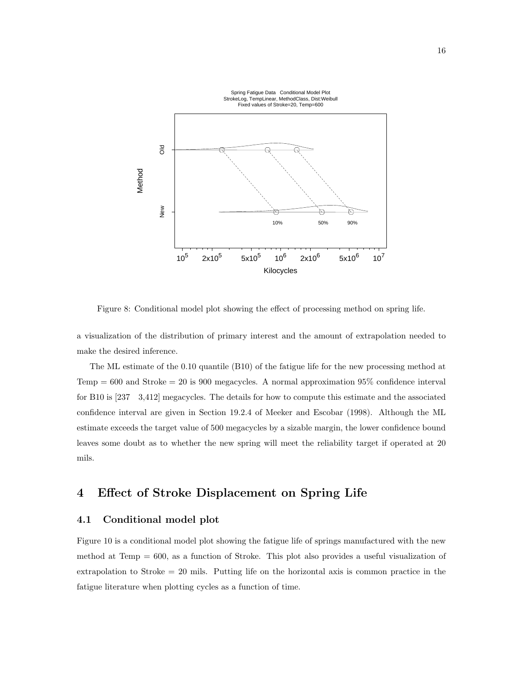

Figure 8: Conditional model plot showing the effect of processing method on spring life.

a visualization of the distribution of primary interest and the amount of extrapolation needed to make the desired inference.

The ML estimate of the 0.10 quantile (B10) of the fatigue life for the new processing method at Temp =  $600$  and Stroke =  $20$  is  $900$  megacycles. A normal approximation  $95\%$  confidence interval for B10 is [237 3,412] megacycles. The details for how to compute this estimate and the associated confidence interval are given in Section 19.2.4 of Meeker and Escobar (1998). Although the ML estimate exceeds the target value of 500 megacycles by a sizable margin, the lower confidence bound leaves some doubt as to whether the new spring will meet the reliability target if operated at 20 mils.

## **4 Effect of Stroke Displacement on Spring Life**

#### **4.1 Conditional model plot**

Figure 10 is a conditional model plot showing the fatigue life of springs manufactured with the new method at Temp  $= 600$ , as a function of Stroke. This plot also provides a useful visualization of extrapolation to Stroke  $= 20$  mils. Putting life on the horizontal axis is common practice in the fatigue literature when plotting cycles as a function of time.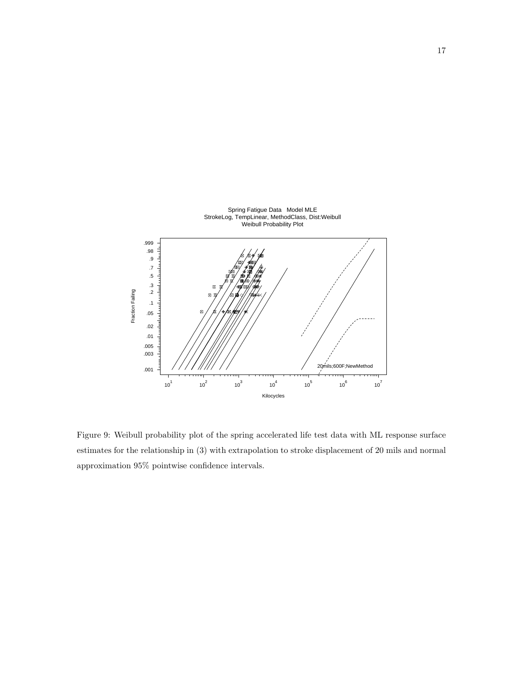

Figure 9: Weibull probability plot of the spring accelerated life test data with ML response surface estimates for the relationship in (3) with extrapolation to stroke displacement of 20 mils and normal approximation 95% pointwise confidence intervals.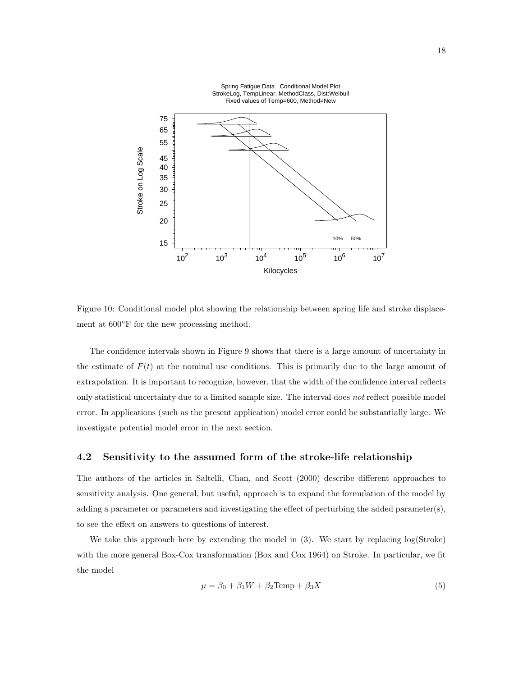

Figure 10: Conditional model plot showing the relationship between spring life and stroke displacement at  $600°$ F for the new processing method.

The confidence intervals shown in Figure 9 shows that there is a large amount of uncertainty in the estimate of  $F(t)$  at the nominal use conditions. This is primarily due to the large amount of extrapolation. It is important to recognize, however, that the width of the confidence interval reflects only statistical uncertainty due to a limited sample size. The interval does *not* reflect possible model error. In applications (such as the present application) model error could be substantially large. We investigate potential model error in the next section.

#### **4.2 Sensitivity to the assumed form of the stroke-life relationship**

The authors of the articles in Saltelli, Chan, and Scott (2000) describe different approaches to sensitivity analysis. One general, but useful, approach is to expand the formulation of the model by adding a parameter or parameters and investigating the effect of perturbing the added parameter(s), to see the effect on answers to questions of interest.

We take this approach here by extending the model in (3). We start by replacing log(Stroke) with the more general Box-Cox transformation (Box and Cox 1964) on Stroke. In particular, we fit the model

$$
\mu = \beta_0 + \beta_1 W + \beta_2 \text{Temp} + \beta_3 X \tag{5}
$$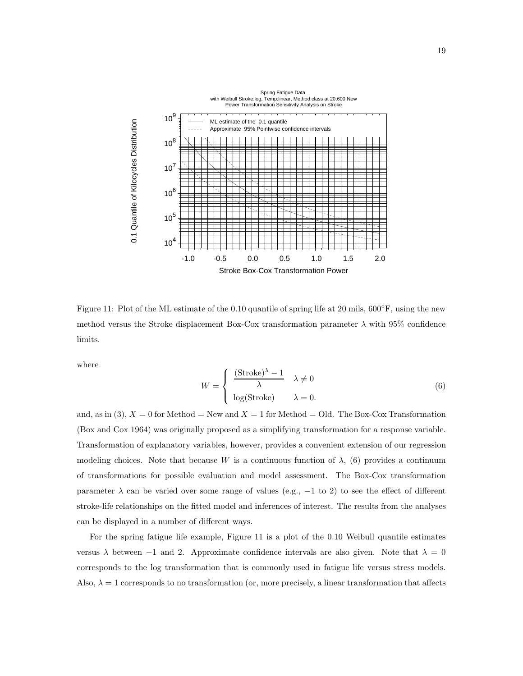

Figure 11: Plot of the ML estimate of the 0.10 quantile of spring life at 20 mils, 600◦F, using the new method versus the Stroke displacement Box-Cox transformation parameter  $\lambda$  with 95% confidence limits.

where

$$
W = \begin{cases} \frac{(\text{Stroke})^{\lambda} - 1}{\lambda} & \lambda \neq 0\\ \log(\text{Stroke}) & \lambda = 0. \end{cases}
$$
(6)

and, as in (3),  $X = 0$  for Method = New and  $X = 1$  for Method = Old. The Box-Cox Transformation (Box and Cox 1964) was originally proposed as a simplifying transformation for a response variable. Transformation of explanatory variables, however, provides a convenient extension of our regression modeling choices. Note that because W is a continuous function of  $\lambda$ , (6) provides a continuum of transformations for possible evaluation and model assessment. The Box-Cox transformation parameter  $\lambda$  can be varied over some range of values (e.g.,  $-1$  to 2) to see the effect of different stroke-life relationships on the fitted model and inferences of interest. The results from the analyses can be displayed in a number of different ways.

For the spring fatigue life example, Figure 11 is a plot of the 0.10 Weibull quantile estimates versus  $\lambda$  between -1 and 2. Approximate confidence intervals are also given. Note that  $\lambda = 0$ corresponds to the log transformation that is commonly used in fatigue life versus stress models. Also,  $\lambda = 1$  corresponds to no transformation (or, more precisely, a linear transformation that affects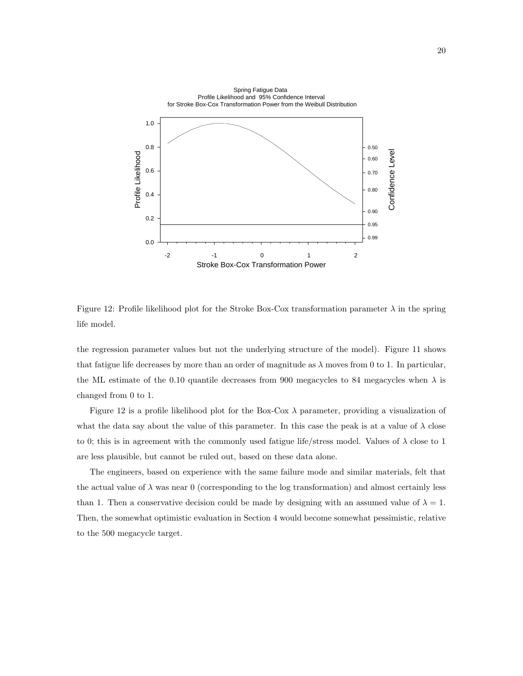

Figure 12: Profile likelihood plot for the Stroke Box-Cox transformation parameter  $\lambda$  in the spring life model.

the regression parameter values but not the underlying structure of the model). Figure 11 shows that fatigue life decreases by more than an order of magnitude as  $\lambda$  moves from 0 to 1. In particular, the ML estimate of the 0.10 quantile decreases from 900 megacycles to 84 megacycles when  $\lambda$  is changed from 0 to 1.

Figure 12 is a profile likelihood plot for the Box-Cox  $\lambda$  parameter, providing a visualization of what the data say about the value of this parameter. In this case the peak is at a value of  $\lambda$  close to 0; this is in agreement with the commonly used fatigue life/stress model. Values of  $\lambda$  close to 1 are less plausible, but cannot be ruled out, based on these data alone.

The engineers, based on experience with the same failure mode and similar materials, felt that the actual value of  $\lambda$  was near 0 (corresponding to the log transformation) and almost certainly less than 1. Then a conservative decision could be made by designing with an assumed value of  $\lambda = 1$ . Then, the somewhat optimistic evaluation in Section 4 would become somewhat pessimistic, relative to the 500 megacycle target.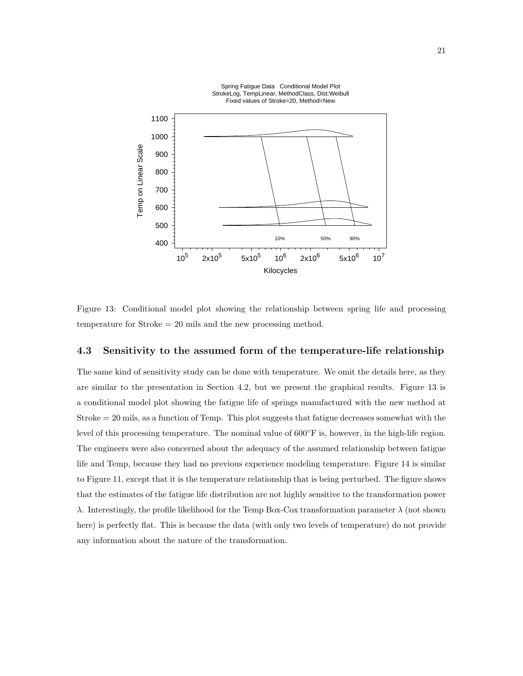

Figure 13: Conditional model plot showing the relationship between spring life and processing temperature for Stroke = 20 mils and the new processing method.

#### **4.3 Sensitivity to the assumed form of the temperature-life relationship**

The same kind of sensitivity study can be done with temperature. We omit the details here, as they are similar to the presentation in Section 4.2, but we present the graphical results. Figure 13 is a conditional model plot showing the fatigue life of springs manufactured with the new method at Stroke = 20 mils, as a function of Temp. This plot suggests that fatigue decreases somewhat with the level of this processing temperature. The nominal value of 600◦F is, however, in the high-life region. The engineers were also concerned about the adequacy of the assumed relationship between fatigue life and Temp, because they had no previous experience modeling temperature. Figure 14 is similar to Figure 11, except that it is the temperature relationship that is being perturbed. The figure shows that the estimates of the fatigue life distribution are not highly sensitive to the transformation power λ. Interestingly, the profile likelihood for the Temp Box-Cox transformation parameter  $\lambda$  (not shown here) is perfectly flat. This is because the data (with only two levels of temperature) do not provide any information about the nature of the transformation.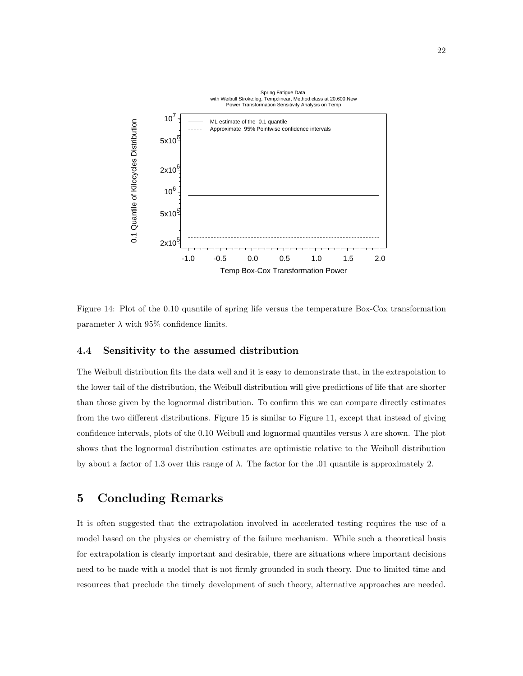

Figure 14: Plot of the 0.10 quantile of spring life versus the temperature Box-Cox transformation parameter  $\lambda$  with 95% confidence limits.

#### **4.4 Sensitivity to the assumed distribution**

The Weibull distribution fits the data well and it is easy to demonstrate that, in the extrapolation to the lower tail of the distribution, the Weibull distribution will give predictions of life that are shorter than those given by the lognormal distribution. To confirm this we can compare directly estimates from the two different distributions. Figure 15 is similar to Figure 11, except that instead of giving confidence intervals, plots of the 0.10 Weibull and lognormal quantiles versus  $\lambda$  are shown. The plot shows that the lognormal distribution estimates are optimistic relative to the Weibull distribution by about a factor of 1.3 over this range of  $\lambda$ . The factor for the .01 quantile is approximately 2.

## **5 Concluding Remarks**

It is often suggested that the extrapolation involved in accelerated testing requires the use of a model based on the physics or chemistry of the failure mechanism. While such a theoretical basis for extrapolation is clearly important and desirable, there are situations where important decisions need to be made with a model that is not firmly grounded in such theory. Due to limited time and resources that preclude the timely development of such theory, alternative approaches are needed.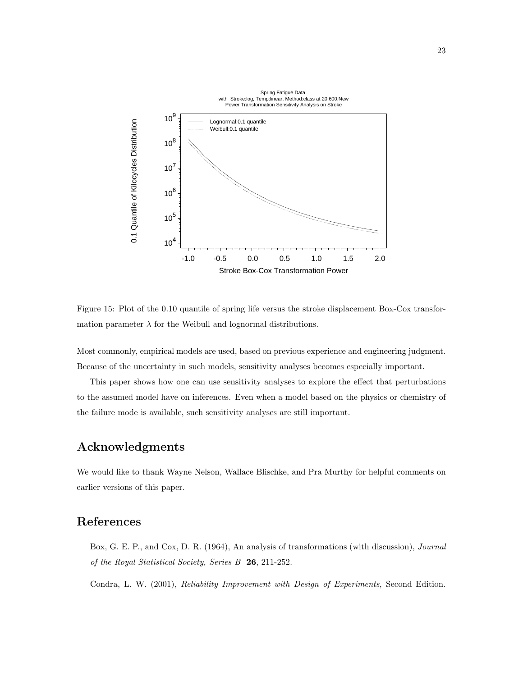

Figure 15: Plot of the 0.10 quantile of spring life versus the stroke displacement Box-Cox transformation parameter  $\lambda$  for the Weibull and lognormal distributions.

Most commonly, empirical models are used, based on previous experience and engineering judgment. Because of the uncertainty in such models, sensitivity analyses becomes especially important.

This paper shows how one can use sensitivity analyses to explore the effect that perturbations to the assumed model have on inferences. Even when a model based on the physics or chemistry of the failure mode is available, such sensitivity analyses are still important.

## **Acknowledgments**

We would like to thank Wayne Nelson, Wallace Blischke, and Pra Murthy for helpful comments on earlier versions of this paper.

## **References**

Box, G. E. P., and Cox, D. R. (1964), An analysis of transformations (with discussion), *Journal of the Royal Statistical Society, Series B* **26**, 211-252.

Condra, L. W. (2001), *Reliability Improvement with Design of Experiments*, Second Edition.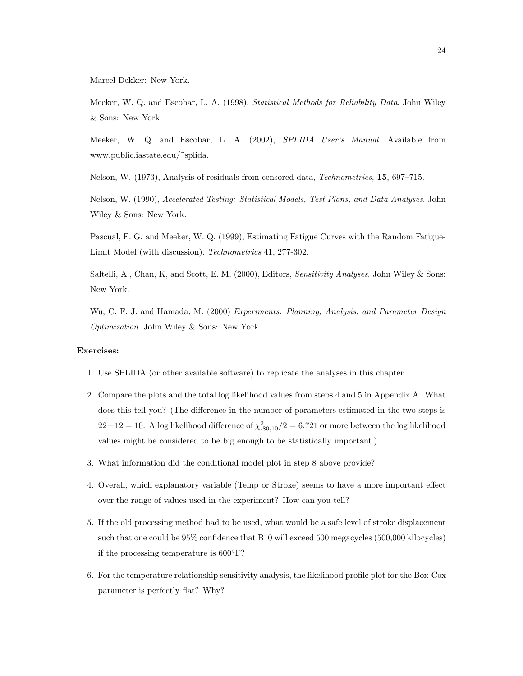Marcel Dekker: New York.

Meeker, W. Q. and Escobar, L. A. (1998), *Statistical Methods for Reliability Data*. John Wiley & Sons: New York.

Meeker, W. Q. and Escobar, L. A. (2002), *SPLIDA User's Manual*. Available from www.public.iastate.edu/˜splida.

Nelson, W. (1973), Analysis of residuals from censored data, *Technometrics*, **15**, 697–715.

Nelson, W. (1990), *Accelerated Testing: Statistical Models, Test Plans, and Data Analyses*. John Wiley & Sons: New York.

Pascual, F. G. and Meeker, W. Q. (1999), Estimating Fatigue Curves with the Random Fatigue-Limit Model (with discussion). *Technometrics* 41, 277-302.

Saltelli, A., Chan, K, and Scott, E. M. (2000), Editors, *Sensitivity Analyses*. John Wiley & Sons: New York.

Wu, C. F. J. and Hamada, M. (2000) *Experiments: Planning, Analysis, and Parameter Design Optimization*. John Wiley & Sons: New York.

#### **Exercises:**

- 1. Use SPLIDA (or other available software) to replicate the analyses in this chapter.
- 2. Compare the plots and the total log likelihood values from steps 4 and 5 in Appendix A. What does this tell you? (The difference in the number of parameters estimated in the two steps is  $22-12=10$ . A log likelihood difference of  $\chi^2_{.80,10}/2=6.721$  or more between the log likelihood values might be considered to be big enough to be statistically important.)
- 3. What information did the conditional model plot in step 8 above provide?
- 4. Overall, which explanatory variable (Temp or Stroke) seems to have a more important effect over the range of values used in the experiment? How can you tell?
- 5. If the old processing method had to be used, what would be a safe level of stroke displacement such that one could be 95% confidence that B10 will exceed 500 megacycles (500,000 kilocycles) if the processing temperature is 600◦F?
- 6. For the temperature relationship sensitivity analysis, the likelihood profile plot for the Box-Cox parameter is perfectly flat? Why?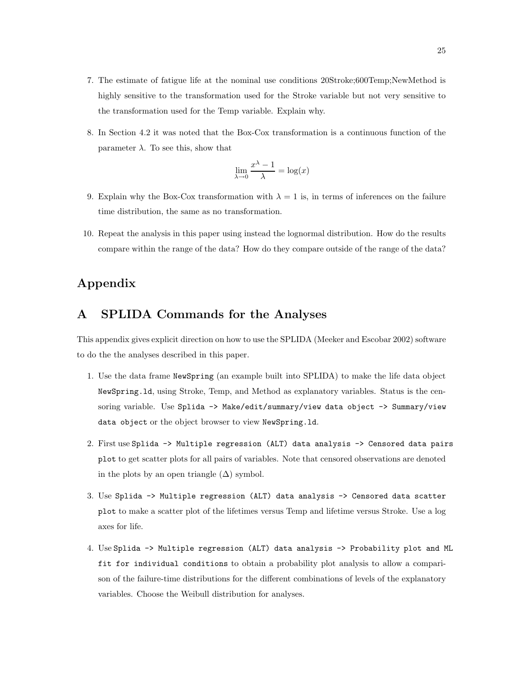- 7. The estimate of fatigue life at the nominal use conditions 20Stroke;600Temp;NewMethod is highly sensitive to the transformation used for the Stroke variable but not very sensitive to the transformation used for the Temp variable. Explain why.
- 8. In Section 4.2 it was noted that the Box-Cox transformation is a continuous function of the parameter  $\lambda$ . To see this, show that

$$
\lim_{\lambda \to 0} \frac{x^{\lambda} - 1}{\lambda} = \log(x)
$$

- 9. Explain why the Box-Cox transformation with  $\lambda = 1$  is, in terms of inferences on the failure time distribution, the same as no transformation.
- 10. Repeat the analysis in this paper using instead the lognormal distribution. How do the results compare within the range of the data? How do they compare outside of the range of the data?

## **Appendix**

## **A SPLIDA Commands for the Analyses**

This appendix gives explicit direction on how to use the SPLIDA (Meeker and Escobar 2002) software to do the the analyses described in this paper.

- 1. Use the data frame NewSpring (an example built into SPLIDA) to make the life data object NewSpring.ld, using Stroke, Temp, and Method as explanatory variables. Status is the censoring variable. Use Splida -> Make/edit/summary/view data object -> Summary/view data object or the object browser to view NewSpring.ld.
- 2. First use Splida -> Multiple regression (ALT) data analysis -> Censored data pairs plot to get scatter plots for all pairs of variables. Note that censored observations are denoted in the plots by an open triangle  $(\Delta)$  symbol.
- 3. Use Splida -> Multiple regression (ALT) data analysis -> Censored data scatter plot to make a scatter plot of the lifetimes versus Temp and lifetime versus Stroke. Use a log axes for life.
- 4. Use Splida -> Multiple regression (ALT) data analysis -> Probability plot and ML fit for individual conditions to obtain a probability plot analysis to allow a comparison of the failure-time distributions for the different combinations of levels of the explanatory variables. Choose the Weibull distribution for analyses.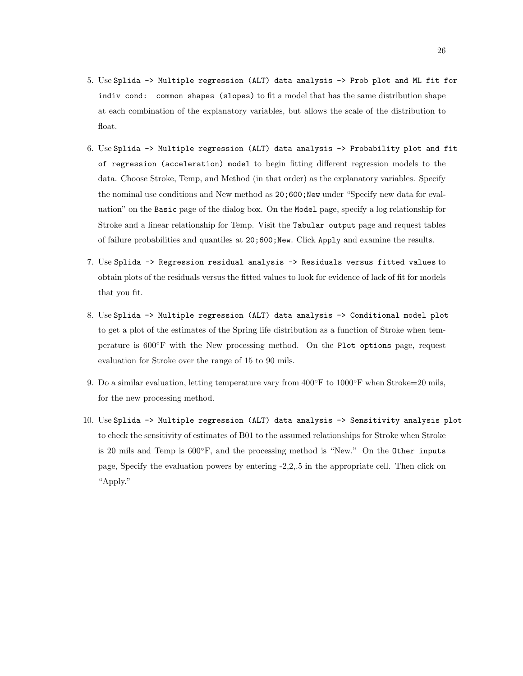- 5. Use Splida -> Multiple regression (ALT) data analysis -> Prob plot and ML fit for indiv cond: common shapes (slopes) to fit a model that has the same distribution shape at each combination of the explanatory variables, but allows the scale of the distribution to float.
- 6. Use Splida -> Multiple regression (ALT) data analysis -> Probability plot and fit of regression (acceleration) model to begin fitting different regression models to the data. Choose Stroke, Temp, and Method (in that order) as the explanatory variables. Specify the nominal use conditions and New method as  $20;600;$ New under "Specify new data for evaluation" on the Basic page of the dialog box. On the Model page, specify a log relationship for Stroke and a linear relationship for Temp. Visit the Tabular output page and request tables of failure probabilities and quantiles at  $20;600;$ New. Click Apply and examine the results.
- 7. Use Splida -> Regression residual analysis -> Residuals versus fitted values to obtain plots of the residuals versus the fitted values to look for evidence of lack of fit for models that you fit.
- 8. Use Splida -> Multiple regression (ALT) data analysis -> Conditional model plot to get a plot of the estimates of the Spring life distribution as a function of Stroke when temperature is 600◦F with the New processing method. On the Plot options page, request evaluation for Stroke over the range of 15 to 90 mils.
- 9. Do a similar evaluation, letting temperature vary from  $400°$ F to  $1000°$ F when Stroke=20 mils, for the new processing method.
- 10. Use Splida -> Multiple regression (ALT) data analysis -> Sensitivity analysis plot to check the sensitivity of estimates of B01 to the assumed relationships for Stroke when Stroke is 20 mils and Temp is  $600\textdegree F$ , and the processing method is "New." On the Other inputs page, Specify the evaluation powers by entering -2,2,.5 in the appropriate cell. Then click on "Apply."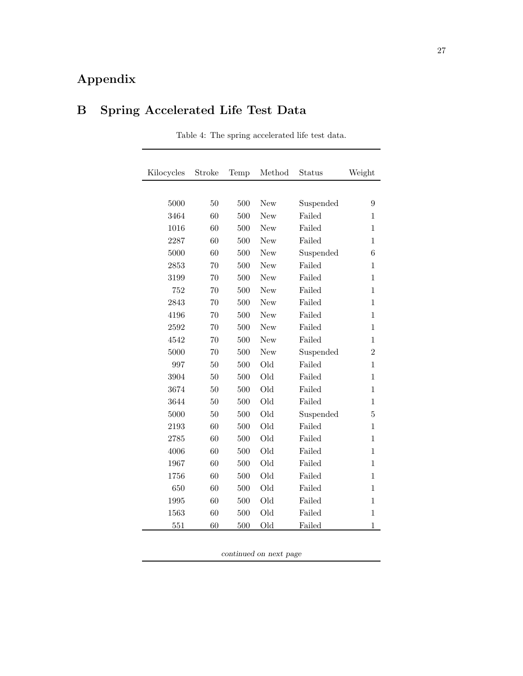## **Appendix**

## **B Spring Accelerated Life Test Data**

| Kilocycles | Stroke | Temp | Method     | Status    | Weight         |
|------------|--------|------|------------|-----------|----------------|
|            |        |      |            |           |                |
| 5000       | 50     | 500  | New        | Suspended | 9              |
| 3464       | 60     | 500  | New        | Failed    | 1              |
| 1016       | 60     | 500  | <b>New</b> | Failed    | 1              |
| 2287       | 60     | 500  | New        | Failed    | 1              |
| 5000       | 60     | 500  | New        | Suspended | 6              |
| 2853       | 70     | 500  | New        | Failed    | 1              |
| 3199       | 70     | 500  | <b>New</b> | Failed    | $\mathbf{1}$   |
| 752        | 70     | 500  | New        | Failed    | 1              |
| 2843       | 70     | 500  | New        | Failed    | $\mathbf{1}$   |
| 4196       | 70     | 500  | New        | Failed    | $\mathbf{1}$   |
| 2592       | 70     | 500  | New        | Failed    | $\overline{1}$ |
| 4542       | 70     | 500  | New        | Failed    | $\mathbf{1}$   |
| 5000       | 70     | 500  | New        | Suspended | $\overline{2}$ |
| 997        | 50     | 500  | Old        | Failed    | $\mathbf{1}$   |
| 3904       | 50     | 500  | Old        | Failed    | $\mathbf{1}$   |
| 3674       | 50     | 500  | Old        | Failed    | $\mathbf{1}$   |
| 3644       | 50     | 500  | Old        | Failed    | 1              |
| 5000       | 50     | 500  | Old        | Suspended | 5              |
| 2193       | 60     | 500  | Old        | Failed    | 1              |
| 2785       | 60     | 500  | Old        | Failed    | $\mathbf{1}$   |
| 4006       | 60     | 500  | Old        | Failed    | 1              |
| 1967       | 60     | 500  | Old        | Failed    | 1              |
| 1756       | 60     | 500  | Old        | Failed    | 1              |
| 650        | 60     | 500  | Old        | Failed    | $\mathbf{1}$   |
| 1995       | 60     | 500  | Old        | Failed    | 1              |
| 1563       | 60     | 500  | Old        | Failed    | $\mathbf{1}$   |
| 551        | 60     | 500  | Old        | Failed    | 1              |

Table 4: The spring accelerated life test data.

*continued on next page*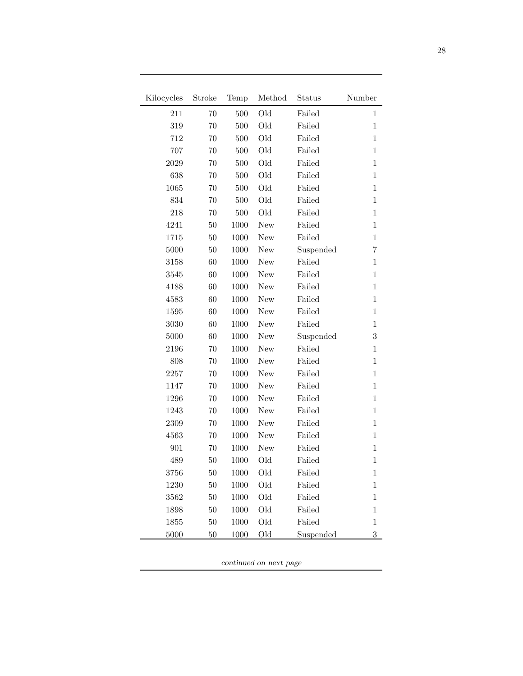| Kilocycles | Stroke | Temp | Method     | Status    | Number       |
|------------|--------|------|------------|-----------|--------------|
| 211        | 70     | 500  | Old        | Failed    | 1            |
| 319        | 70     | 500  | Old        | Failed    | $\mathbf{1}$ |
| 712        | 70     | 500  | Old        | Failed    | $\mathbf 1$  |
| 707        | 70     | 500  | Old        | Failed    | $\mathbf 1$  |
| 2029       | 70     | 500  | Old        | Failed    | $\mathbf{1}$ |
| 638        | 70     | 500  | Old        | Failed    | $\mathbf 1$  |
| 1065       | 70     | 500  | Old        | Failed    | $\mathbf{1}$ |
| 834        | 70     | 500  | Old        | Failed    | $\mathbf 1$  |
| 218        | 70     | 500  | Old        | Failed    | $\mathbf{1}$ |
| 4241       | 50     | 1000 | New        | Failed    | $\mathbf 1$  |
| 1715       | 50     | 1000 | New        | Failed    | $\mathbf 1$  |
| 5000       | 50     | 1000 | New        | Suspended | 7            |
| 3158       | 60     | 1000 | New        | Failed    | $\mathbf 1$  |
| 3545       | 60     | 1000 | New        | Failed    | $\mathbf{1}$ |
| 4188       | 60     | 1000 | New        | Failed    | $\mathbf 1$  |
| 4583       | 60     | 1000 | New        | Failed    | $\mathbf{1}$ |
| 1595       | 60     | 1000 | <b>New</b> | Failed    | $\mathbf{1}$ |
| 3030       | 60     | 1000 | New        | Failed    | 1            |
| 5000       | 60     | 1000 | New        | Suspended | 3            |
| 2196       | 70     | 1000 | New        | Failed    | $\mathbf 1$  |
| 808        | 70     | 1000 | New        | Failed    | $\mathbf 1$  |
| 2257       | 70     | 1000 | New        | Failed    | $\mathbf{1}$ |
| 1147       | 70     | 1000 | New        | Failed    | $\mathbf 1$  |
| 1296       | 70     | 1000 | New        | Failed    | $\mathbf{1}$ |
| 1243       | 70     | 1000 | New        | Failed    | $\mathbf 1$  |
| 2309       | 70     | 1000 | New        | Failed    | $\mathbf 1$  |
| 4563       | 70     | 1000 | New        | Failed    | $\mathbf 1$  |
| 901        | 70     | 1000 | New        | Failed    | $\mathbf{1}$ |
| 489        | 50     | 1000 | Old        | Failed    | $\mathbf{1}$ |
| 3756       | 50     | 1000 | Old        | Failed    | 1            |
| 1230       | 50     | 1000 | Old        | Failed    | $\mathbf{1}$ |
| 3562       | 50     | 1000 | Old        | Failed    | 1            |
| 1898       | 50     | 1000 | Old        | Failed    | 1            |
| 1855       | $50\,$ | 1000 | Old        | Failed    | 1            |
| 5000       | 50     | 1000 | Old        | Suspended | 3            |

*continued on next page*